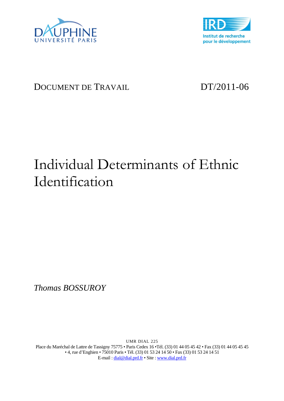



# DOCUMENT DE TRAVAIL DT/2011-06

# Individual Determinants of Ethnic Identification

*Thomas BOSSUROY* 

UMR DIAL 225 Place du Maréchal de Lattre de Tassigny 75775 • Paris Cedex 16 •Tél. (33) 01 44 05 45 42 • Fax (33) 01 44 05 45 45 • 4, rue d'Enghien • 75010 Paris • Tél. (33) 01 53 24 14 50 • Fax (33) 01 53 24 14 51 E-mail : dial@dial.prd.fr • Site : www.dial.prd.fr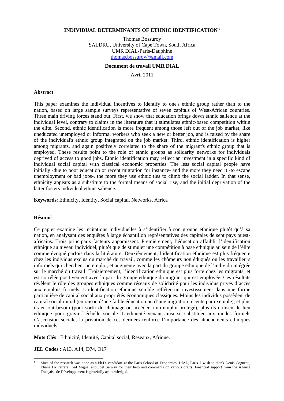#### **INDIVIDUAL DETERMINANTS OF ETHNIC IDENTIFICATION <sup>1</sup>**

Thomas Bossuroy SALDRU, University of Cape Town, South Africa UMR DIAL-Paris-Dauphine thomas.bossuroy@gmail.com

#### **Document de travail UMR DIAL**

Avril 2011

#### **Abstract**

This paper examines the individual incentives to identify to one's ethnic group rather than to the nation, based on large sample surveys representative of seven capitals of West-African countries. Three main driving forces stand out. First, we show that education brings down ethnic salience at the individual level, contrary to claims in the literature that it stimulates ethnic-based competition within the elite. Second, ethnic identification is more frequent among those left out of the job market, like uneducated unemployed or informal workers who seek a new or better job, and is raised by the share of the individual's ethnic group integrated on the job market. Third, ethnic identification is higher among migrants, and again positively correlated to the share of the migrant's ethnic group that is employed. These results point to the role of ethnic groups as solidarity networks for individuals deprived of access to good jobs. Ethnic identification may reflect an investment in a specific kind of individual social capital with classical economic properties. The less social capital people have initially -due to poor education or recent migration for instance- and the more they need it -to escape unemployment or bad jobs-, the more they use ethnic ties to climb the social ladder. In that sense, ethnicity appears as a substitute to the formal means of social rise, and the initial deprivation of the latter fosters individual ethnic salience.

**Keywords**: Ethnicity, Identity, Social capital, Networks, Africa

#### **Résumé**

 $\overline{a}$ 

Ce papier examine les incitations individuelles à s'identifier à son groupe ethnique plutôt qu'à sa nation, en analysant des enquêtes à large échantillon représentatives des capitales de sept pays ouestafricains. Trois principaux facteurs apparaissent. Premièrement, l'éducation affaiblit l'identification ethnique au niveau individuel, plutôt que de stimuler une compétition à base ethnique au sein de l'élite comme évoqué parfois dans la littérature. Deuxièmement, l'identification ethnique est plus fréquente chez les individus exclus du marché du travail, comme les chômeurs non éduqués ou les travailleurs informels qui cherchent un emploi, et augmente avec la part du groupe ethnique de l'individu intégrée sur le marché du travail. Troisièmement, l'identification ethnique est plus forte chez les migrants, et est corrélée positivement avec la part du groupe ethnique du migrant qui est employée. Ces résultats révèlent le rôle des groupes ethniques comme réseaux de solidarité pour les individus privés d'accès aux emplois formels. L'identification ethnique semble refléter un investissement dans une forme particulière de capital social aux propriétés économiques classiques. Moins les individus possèdent de capital social initial (en raison d'une faible éducation ou d'une migration récente par exemple), et plus ils en ont besoin (pour sortir du chômage ou accéder à un emploi protégé), plus ils utilisent le lien ethnique pour gravir l'échelle sociale. L'ethnicité venant ainsi se substituer aux modes formels d'ascension sociale, la privation de ces derniers renforce l'importance des attachements ethniques individuels.

**Mots Clés** : Ethnicité, Identité, Capital social, Réseaux, Afrique.

**JEL Codes** : A13, A14, D74, O17

<sup>1</sup> Most of the research was done as a Ph.D. candidate at the Paris School of Economics, DIAL, Paris. I wish to thank Denis Cogneau, Eliana La Ferrara, Ted Miguel and Joel Selway for their help and comments on various drafts. Financial support from the Agence Française de Développement is gratefully acknowledged.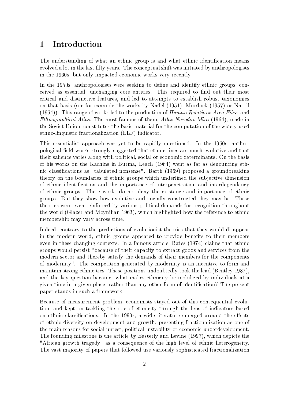## 1 Introduction

The understanding of what an ethnic group is and what ethnic identification means evolved a lot in the last fifty years. The conceptual shift was initiated by anthropologists in the 1960s, but only impacted economic works very recently.

In the 1950s, anthropologists were seeking to define and identify ethnic groups, conceived as essential, unchanging core entities. This required to find out their most critical and distinctive features, and led to attempts to establish robust taxonomies on that basis (see for example the works by Nadel (1951), Murdock (1957) or Naroll (1964)). This range of works led to the production of Human Relations Area Files, and Ethnographical Atlas. The most famous of them, Atlas Narodov Mira (1964), made in the Soviet Union, constitutes the basic material for the computation of the widely used ethno-linguistic fractionalization (ELF) indicator.

This essentialist approach was yet to be rapidly questioned. In the 1960s, anthropological field works strongly suggested that ethnic lines are much evolutive and that their salience varies along with political, social or economic determinants. On the basis of his works on the Kachins in Burma, Leach (1964) went as far as denouncing ethnic classifications as "tabulated nonsense". Barth (1969) proposed a groundbreaking theory on the boundaries of ethnic groups which underlined the subjective dimension of ethnic identification and the importance of interpenetration and interdependency of ethnic groups. These works do not deny the existence and importance of ethnic groups. But they show how evolutive and socially constructed they may be. These theories were even reinforced by various political demands for recognition throughout the world (Glazer and Moynihan 1963), which highlighted how the reference to ethnic membership may vary across time.

Indeed, contrary to the predictions of evolutionist theories that they would disappear in the modern world, ethnic groups appeared to provide benefits to their members even in these changing contexts. In a famous article, Bates (1974) claims that ethnic groups would persist "because of their capacity to extract goods and services from the modern sector and thereby satisfy the demands of their members for the components of modernity". The competition generated by modernity is an incentive to form and maintain strong ethnic ties. These positions undoubtedly took the lead (Bentley 1987), and the key question became: what makes ethnicity be mobilized by individuals at a given time in a given place, rather than any other form of identification? The present paper stands in such a framework.

Because of measurement problem, economists stayed out of this consequential evolution, and kept on tackling the role of ethnicity through the lens of indicators based on ethnic classifications. In the 1990s, a wide literature emerged around the effects of ethnic diversity on development and growth, presenting fractionalization as one of the main reasons for social unrest, political instability or economic underdevelopment. The founding milestone is the article by Easterly and Levine (1997), which depicts the "African growth tragedy" as a consequence of the high level of ethnic heterogeneity. The vast majority of papers that followed use variously sophisticated fractionalization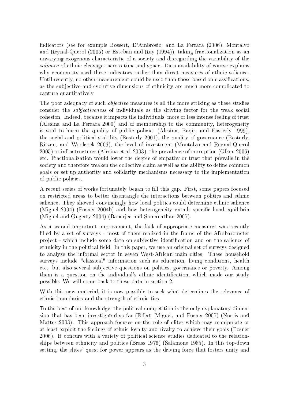indicators (see for example Bossert, D'Ambrosio, and La Ferrara (2006), Montalvo and Reynal-Querol (2005) or Esteban and Ray (1994)), taking fractionalization as an unvarying exogenous characteristic of a society and disregarding the variability of the salience of ethnic cleavages across time and space. Data availability of course explains why economists used these indicators rather than direct measures of ethnic salience. Until recently, no other measurement could be used than those based on classifications, as the subjective and evolutive dimensions of ethnicity are much more complicated to capture quantitatively.

The poor adequacy of such *objective* measures is all the more striking as these studies consider the subjectiveness of individuals as the driving factor for the weak social cohesion. Indeed, because it impacts the individuals' more or less intense feeling of trust (Alesina and La Ferrara 2000) and of membership to the community, heterogeneity is said to harm the quality of public policies (Alesina, Baqir, and Easterly 1999), the social and political stability (Easterly 2001), the quality of governance (Easterly, Ritzen, and Woolcock 2006), the level of investment (Montalvo and Reynal-Querol 2005) or infrastructures (Alesina et al. 2003), the prevalence of corruption (Olken 2006) etc. Fractionalization would lower the degree of empathy or trust that prevails in the society and therefore weaken the collective claim as well as the ability to define common goals or set up authority and solidarity mechanisms necessary to the implementation of public policies.

A recent series of works fortunately began to fill this gap. First, some papers focused on restricted areas to better disentangle the interactions between politics and ethnic salience. They showed convincingly how local politics could determine ethnic salience (Miguel  $2004$ ) (Posner  $2004b$ ) and how heterogeneity entails specific local equilibria (Miguel and Gugerty 2004) (Banerjee and Somanathan 2007).

As a second important improvement, the lack of appropriate measures was recently lled by a set of surveys - most of them realized in the frame of the Afrobarometer project - which include some data on subjective identification and on the salience of ethnicity in the political field. In this paper, we use an original set of surveys designed to analyze the informal sector in seven West-African main cities. These household surveys include "classical" information such as education, living conditions, health etc., but also several subjective questions on politics, governance or poverty. Among them is a question on the individual's ethnic identification, which made our study possible. We will come back to these data in section 2.

With this new material, it is now possible to seek what determines the relevance of ethnic boundaries and the strength of ethnic ties.

To the best of our knowledge, the political competition is the only explanatory dimension that has been investigated so far (Eifert, Miguel, and Posner 2007) (Norris and Mattes 2003). This approach focuses on the role of elites which may manipulate or at least exploit the feelings of ethnic loyalty and rivalry to achieve their goals (Posner 2006). It concurs with a variety of political science studies dedicated to the relationships between ethnicity and politics (Brass 1976) (Salamone 1985). In this top-down setting, the elites' quest for power appears as the driving force that fosters unity and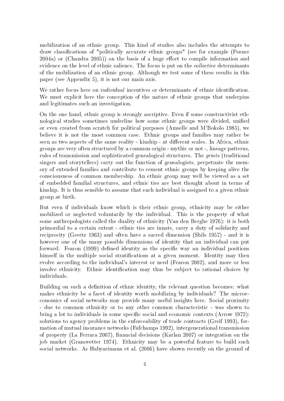mobilization of an ethnic group. This kind of studies also includes the attempts to draw classifications of "politically accurate ethnic groups" (see for example (Posner  $2004a$ ) or (Chandra  $2005$ )) on the basis of a huge effort to compile information and evidence on the level of ethnic salience. The focus is put on the collective determinants of the mobilization of an ethnic group. Although we test some of these results in this paper (see Appendix 5), it is not our main axis.

We rather focus here on *individual* incentives or determinants of ethnic identification. We must explicit here the conception of the nature of ethnic groups that underpins and legitimates such an investigation.

On the one hand, ethnic group is strongly ascriptive. Even if some constructivist ethnological studies sometimes underline how some ethnic groups were divided, unified or even created from scratch for political purposes (Amselle and M'Bokolo 1985), we believe it is not the most common case. Ethnic groups and families may rather be seen as two aspects of the same reality - kinship - at different scales. In Africa, ethnic groups are very often structured by a common origin - mythic or not -, lineage patterns, rules of transmission and sophisticated genealogical structures. The griots (traditional singers and storytellers) carry out the function of genealogists, perpetuate the memory of extended families and contribute to cement ethnic groups by keeping alive the consciousness of common membership. An ethnic group may well be viewed as a set of embedded familial structures, and ethnic ties are best thought about in terms of kinship. It is thus sensible to assume that each individual is assigned to a given ethnic group at birth.

But even if individuals know which is their ethnic group, ethnicity may be either mobilized or neglected voluntarily by the individual. This is the property of what some anthropologists called the duality of ethnicity (Van den Berghe 1976): it is both primordial to a certain extent - ethnic ties are innate, carry a duty of solidarity and reciprocity (Geertz 1963) and often have a sacred dimension (Shils 1957) - and it is however one of the many possible dimensions of identity that an individual can put forward. Fearon (1999) defined identity as the specific way an individual positions himself in the multiple social stratifications at a given moment. Identity may then evolve according to the individual's interest or need (Fearon 2002), and more or less involve ethnicity. Ethnic identification may thus be subject to rational choices by individuals.

Building on such a definition of ethnic identity, the relevant question becomes: what makes ethnicity be a facet of identity worth mobilizing by individuals? The microeconomics of social networks may provide many useful insights here. Social proximity - due to common ethnicity or to any other common characteristic - was shown to bring a lot to individuals in some specific social and economic contexts (Arrow 1972): solutions to agency problems in the enforceability of trade contracts (Greif 1993), formation of mutual insurance networks (Fafchamps 1992), intergenerational transmission of property (La Ferrara 2007), financial decisions (Karlan 2007) or integration on the job market (Granovetter 1974). Ethnicity may be a powerful feature to build such social networks. As Habyarimana et al. (2006) have shown recently on the ground of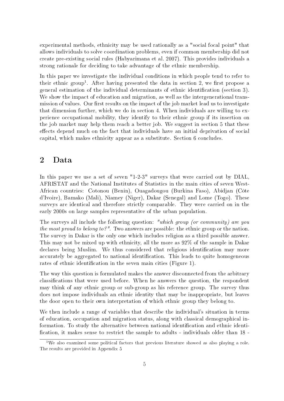experimental methods, ethnicity may be used rationally as a "social focal point" that allows individuals to solve coordination problems, even if common membership did not create pre-existing social rules (Habyarimana et al. 2007). This provides individuals a strong rationale for deciding to take advantage of the ethnic membership.

In this paper we investigate the individual conditions in which people tend to refer to their ethnic group<sup>1</sup>. After having presented the data in section 2, we first propose a general estimation of the individual determinants of ethnic identification (section 3). We show the impact of education and migration, as well as the intergenerational transmission of values. Our first results on the impact of the job market lead us to investigate that dimension further, which we do in section 4. When individuals are willing to experience occupational mobility, they identify to their ethnic group if its insertion on the job market may help them reach a better job. We suggest in section 5 that these effects depend much on the fact that individuals have an initial deprivation of social capital, which makes ethnicity appear as a substitute. Section 6 concludes.

## 2 Data

In this paper we use a set of seven "1-2-3" surveys that were carried out by DIAL, AFRISTAT and the National Institutes of Statistics in the main cities of seven West-African countries: Cotonou (Benin), Ouagadougou (Burkina Faso), Abidjan (Côte d'Ivoire), Bamako (Mali), Niamey (Niger), Dakar (Senegal) and Lome (Togo). These surveys are identical and therefore strictly comparable. They were carried on in the early 2000s on large samples representative of the urban population.

The surveys all include the following question: "which group (or community) are you the most proud to belong to?". Two answers are possible: the ethnic group or the nation. The survey in Dakar is the only one which includes religion as a third possible answer. This may not be mixed up with ethnicity, all the more as 92% of the sample in Dakar declares being Muslim. We thus considered that religious identification may more accurately be aggregated to national identification. This leads to quite homogeneous rates of ethnic identification in the seven main cities (Figure 1).

The way this question is formulated makes the answer disconnected from the arbitrary classifications that were used before. When he answers the question, the respondent may think of any ethnic group or sub-group as his reference group. The survey thus does not impose individuals an ethnic identity that may be inappropriate, but leaves the door open to their own interpretation of which ethnic group they belong to.

We then include a range of variables that describe the individual's situation in terms of education, occupation and migration status, along with classical demographical information. To study the alternative between national identification and ethnic identification, it makes sense to restrict the sample to adults - individuals older than 18 -

 $1$ We also examined some political factors that previous literature showed as also playing a role. The results are provided in Appendix 5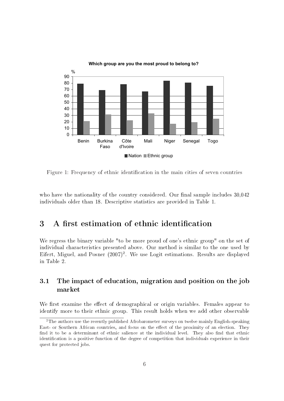

**Which group are you the most proud to belong to?**

Figure 1: Frequency of ethnic identification in the main cities of seven countries

who have the nationality of the country considered. Our final sample includes  $30,042$ individuals older than 18. Descriptive statistics are provided in Table 1.

## 3 A first estimation of ethnic identification

We regress the binary variable "to be more proud of one's ethnic group" on the set of individual characteristics presented above. Our method is similar to the one used by Eifert, Miguel, and Posner (2007)<sup>2</sup>. We use Logit estimations. Results are displayed in Table 2.

#### 3.1 The impact of education, migration and position on the job market

We first examine the effect of demographical or origin variables. Females appear to identify more to their ethnic group. This result holds when we add other observable

<sup>&</sup>lt;sup>2</sup>The authors use the recently published Afrobarometer surveys on twelve mainly English-speaking East- or Southern African countries, and focus on the effect of the proximity of an election. They find it to be a determinant of ethnic salience at the individual level. They also find that ethnic identification is a positive function of the degree of competition that individuals experience in their quest for protected jobs.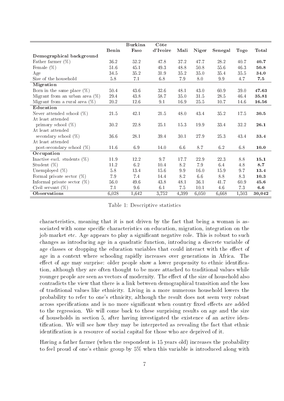|                                   |          | <b>Burkina</b> | Côte     |         |              |          |             |              |
|-----------------------------------|----------|----------------|----------|---------|--------------|----------|-------------|--------------|
|                                   | Benin    | Faso           | d'Ivoire | Mali    | <b>Niger</b> | Senegal  | <b>Togo</b> | <b>Total</b> |
| Demographical background          |          |                |          |         |              |          |             |              |
| Father farmer $(\%)$              | 36.2     | 52.2           | 47.8     | 37.2    | 47.7         | 28.2     | 40.7        | 40.7         |
| Female $(\%)$                     | $51.6\,$ | 45.1           | 49.3     | 48.8    | 50.8         | 55.6     | 46.3        | 50.8         |
| Age                               | 34.5     | 35.2           | 31.9     | 35.2    | 35.0         | 35.4     | 35.5        | 34.0         |
| Size of the household             | 5.8      | 7.1            | 6.8      | 7.9     | 8.0          | $\,9.9$  | 4.7         | 7.5          |
| Migration                         |          |                |          |         |              |          |             |              |
| Born in the same place $(\%)$     | 50.4     | 43.6           | 32.6     | 48.1    | 43.0         | 60.9     | 39.0        | 47.63        |
| Migrant from an urban area $(\%)$ | 29.4     | 43.8           | 58.7     | 35.0    | $31.5\,$     | 28.5     | 46.4        | 35.81        |
| Migrant from a rural area $(\%)$  | 20.2     | 12.6           | 9.1      | 16.9    | $25.5\,$     | $10.7\,$ | 14.6        | 16.56        |
| Education                         |          |                |          |         |              |          |             |              |
| Never attended school $(\%)$      | 21.5     | 42.1           | 21.5     | 48.0    | 43.4         | 35.2     | 17.5        | 30.5         |
| At least attended                 |          |                |          |         |              |          |             |              |
| primary school $(\%)$             | 30.2     | 22.8           | 25.1     | 15.3    | 19.9         | 33.4     | 32.2        | 26.1         |
| At least attended                 |          |                |          |         |              |          |             |              |
| secondary school $(\%)$           | 36.6     | 28.1           | 39.4     | 30.1    | 27.9         | 25.3     | 43.4        | 33.4         |
| At least attended                 |          |                |          |         |              |          |             |              |
| post-secondary school $(\%)$      | 11.6     | 6.9            | 14.0     | 6.6     | 8.7          | 6.2      | 6.8         | 10.0         |
| Occupation                        |          |                |          |         |              |          |             |              |
| Inactive excl. students $(\%)$    | 11.9     | 12.2           | 9.7      | 17.7    | 22.9         | 22.3     | 8.8         | 15.1         |
| Student $(\%)$                    | 11.2     | 6.2            | 10.4     | 8.2     | 7.9          | 6.4      | 4.8         | 8.7          |
| Unemployed $(\%)$                 | 5.8      | 13.4           | 15.6     | 9.9     | 16.0         | 15.9     | 9.7         | 13.4         |
| Formal private sector $(\%)$      | 7.9      | 7.4            | 14.4     | 8.2     | 6.6          | 8.8      | 8.3         | 10.3         |
| Informal private sector $(\%)$    | 56.0     | 49.6           | 43.8     | 48.1    | 36.1         | 41.7     | 60.9        | 45.6         |
| Civil servant $(\%)$              | 7.1      | 9.6            | 6.1      | $7.5\,$ | 10.1         | 4.6      | 7.3         | 6.6          |
| <b>Observations</b>               | 6,028    | 1,642          | 3,752    | 4,399   | 6,050        | 6,668    | 1,503       | 30,042       |

Table 1: Descriptive statistics

characteristics, meaning that it is not driven by the fact that being a woman is associated with some specific characteristics on education, migration, integration on the job market etc. Age appears to play a signicant negative role. This is robust to such changes as introducing age in a quadratic function, introducing a discrete variable of age classes or dropping the education variables that could interact with the effect of age in a context where schooling rapidly increases over generations in Africa. The effect of age may surprise: older people show a lower propensity to ethnic identification, although they are often thought to be more attached to traditional values while younger people are seen as vectors of modernity. The effect of the size of household also contradicts the view that there is a link between demographical transition and the loss of traditional values like ethnicity. Living in a more numerous household lowers the probability to refer to one's ethnicity, although the result does not seem very robust across specifications and is no more significant when country fixed effects are added to the regression. We will come back to these surprising results on age and the size of households in section 5, after having investigated the existence of an active identification. We will see how they may be interpreted as revealing the fact that ethnic identification is a resource of social capital for those who are deprived of it.

Having a father farmer (when the respondent is 15 years old) increases the probability to feel proud of one's ethnic group by 5% when this variable is introduced along with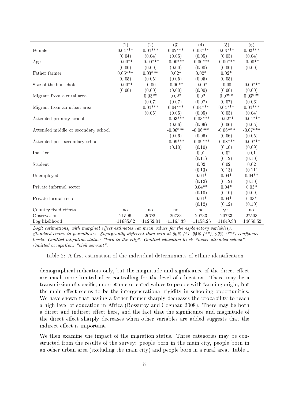|                                     | $\overline{(1)}$ | $\overline{(2)}$ | $\overline{(3)}$ | (4)          | (5)         | $\overline{(6)}$ |
|-------------------------------------|------------------|------------------|------------------|--------------|-------------|------------------|
| Female                              | $0.04***$        | $0.04***$        | $0.02***$        | $0.03***$    | $0.03***$   | $0.02***$        |
|                                     | (0.04)           | (0.04)           | (0.05)           | (0.05)       | (0.05)      | (0.04)           |
| Age                                 | $-0.00**$        | $-0.00***$       | $-0.00***$       | $-0.00$ ***  | $-0.00$ *** | $-0.00**$        |
|                                     | (0.00)           | (0.00)           | (0.00)           | (0.00)       | (0.00)      | (0.00)           |
| Father farmer                       | $0.05***$        | $0.03***$        | $0.02*$          | $0.02*$      | $0.02*$     |                  |
|                                     | (0.05)           | (0.05)           | (0.05)           | (0.05)       | (0.05)      |                  |
| Size of the household               | $-0.00**$        | $-0.00$          | $-0.00**$        | $-0.00*$     | $-0.00$     | $-0.00***$       |
|                                     | (0.00)           | (0.00)           | (0.00)           | (0.00)       | (0.00)      | (0.00)           |
| Migrant from a rural area           |                  | $0.03**$         | $0.02*$          | 0.02         | $0.02**$    | $0.03***$        |
|                                     |                  | (0.07)           | (0.07)           | (0.07)       | (0.07)      | (0.06)           |
| Migrant from an urban area          |                  | $0.04***$        | $0.04***$        | $0.04***$    | $0.04***$   | $0.04***$        |
|                                     |                  | (0.05)           | (0.05)           | (0.05)       | (0.05)      | (0.04)           |
| Attended primary school             |                  |                  | $-0.03***$       | $-0.03***$   | $-0.02**$   | $-0.04***$       |
|                                     |                  |                  | (0.06)           | (0.06)       | (0.06)      | (0.05)           |
| Attended middle or secondary school |                  |                  | $-0.06***$       | $-0.06***$   | $-0.06***$  | $-0.07***$       |
|                                     |                  |                  | (0.06)           | (0.06)       | (0.06)      | (0.05)           |
| Attended post-secondary school      |                  |                  | $-0.09***$       | $-0.09***$   | $-0.08***$  | $-0.09***$       |
|                                     |                  |                  | (0.10)           | (0.10)       | (0.10)      | (0.09)           |
| Inactive                            |                  |                  |                  | 0.01         | 0.02        | 0.01             |
|                                     |                  |                  |                  |              |             |                  |
|                                     |                  |                  |                  | (0.11)       | (0.12)      | (0.10)           |
| Student                             |                  |                  |                  | 0.02         | 0.02        | 0.02             |
|                                     |                  |                  |                  | (0.13)       | (0.13)      | (0.11)           |
| Unemployed                          |                  |                  |                  | $0.04*$      | $0.04*$     | $0.04**$         |
|                                     |                  |                  |                  | (0.12)       | (0.12)      | (0.10)           |
| Private informal sector             |                  |                  |                  | $0.04**$     | $0.04*$     | $0.03*$          |
|                                     |                  |                  |                  | (0.10)       | (0.10)      | (0.09)           |
| Private formal sector               |                  |                  |                  | $0.04*$      | $0.04*$     | $0.03*$          |
|                                     |                  |                  |                  | (0.12)       | (0.12)      | (0.10)           |
| Country fixed effects               | no               | no               | $\mathbf{n}$     | $\mathbf{n}$ | yes         | $\mathbf{n}$     |
| Observations                        | 21596            | 20789            | 20733            | 20733        | 20733       | 27503            |
| Log-likelihood                      | $-11685.62$      | $-11252.04$      | $-11165.39$      | $-11158.26$  | $-11049.93$ | $-14650.52$      |

Logit estimations, with marginal effect estimates (at mean values for the explanatory variables). Standard errors in parentheses. Significantly different than zero at 90% (\*), 95% (\*\*), 99% (\*\*\*) confidence levels. Omitted migration status: "born in the city". Omitted education level: "never attended school". Omitted occupation: "civil servant".

Table 2: A first estimation of the individual determinants of ethnic identification

demographical indicators only, but the magnitude and significance of the direct effect are much more limited after controlling for the level of education. There may be a transmission of specific, more ethnic-oriented values to people with farming origin, but the main effect seems to be the intergenerational rigidity in schooling opportunities. We have shown that having a father farmer sharply decreases the probability to reach a high level of education in Africa (Bossuroy and Cogneau 2008). There may be both a direct and indirect effect here, and the fact that the significance and magnitude of the direct effect sharply decreases when other variables are added suggests that the indirect effect is important.

We then examine the impact of the migration status. Three categories may be constructed from the results of the survey: people born in the main city, people born in an other urban area (excluding the main city) and people born in a rural area. Table 1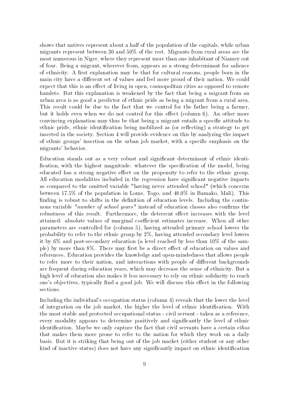shows that natives represent about a half of the population of the capitals, while urban migrants represent between 30 and 50% of the rest. Migrants from rural areas are the most numerous in Niger, where they represent more than one inhabitant of Niamey out of four. Being a migrant, wherever from, appears as a strong determinant for salience of ethnicity. A first explanation may be that for cultural reasons, people born in the main city have a different set of values and feel more proud of their nation. We could expect that this is an effect of living in open, cosmopolitan cities as opposed to remote hamlets. But this explanation is weakened by the fact that being a migrant from an urban area is as good a predictor of ethnic pride as being a migrant from a rural area. This result could be due to the fact that we control for the father being a farmer, but it holds even when we do not control for this effect (column 6). An other more convincing explanation may thus be that being a migrant entails a specific attitude to ethnic pride, ethnic identification being mobilized as (or reflecting) a strategy to get inserted in the society. Section 4 will provide evidence on this by analyzing the impact of ethnic groups' insertion on the urban job market, with a specific emphasis on the migrants' behavior.

Education stands out as a very robust and signicant determinant of ethnic identi fication, with the highest magnitude: whatever the specification of the model, being educated has a strong negative effect on the propensity to refer to the ethnic group. All education modalities included in the regression have significant negative impacts as compared to the omitted variable "having never attended school" (which concerns between 17.5% of the population in Lome, Togo, and 48.0% in Bamako, Mali). This finding is robust to shifts in the definition of education levels. Including the continuous variable "number of school years" instead of education classes also confirms the robustness of this result. Furthermore, the deterrent effect increases with the level attained: absolute values of marginal coefficient estimates increase. When all other parameters are controlled for (column 5), having attended primary school lowers the probability to refer to the ethnic group by 2%, having attended secondary level lowers it by 6% and post-secondary education (a level reached by less than 10% of the sample) by more than  $8\%$ . There may first be a direct effect of education on values and references. Education provides the knowledge and open-mindedness that allows people to refer more to their nation, and interactions with people of different backgrounds are frequent during education years, which may decrease the sense of ethnicity. But a high level of education also makes it less necessary to rely on ethnic solidarity to reach one's objectives, typically find a good job. We will discuss this effect in the following sections.

Including the individual's occupation status (column 4) reveals that the lower the level of integration on the job market, the higher the level of ethnic identification. With the most stable and protected occupational status - civil servant - taken as a reference, every modality appears to determine positively and signicantly the level of ethnic identification. Maybe we only capture the fact that civil servants have a certain *ethos* that makes them more prone to refer to the nation for which they work on a daily basis. But it is striking that being out of the job market (either student or any other kind of inactive status) does not have any significantly impact on ethnic identification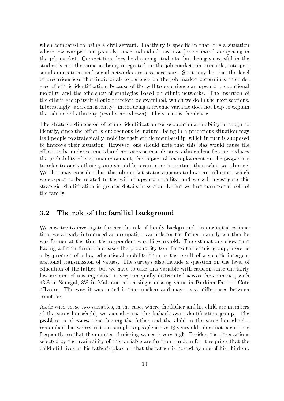when compared to being a civil servant. Inactivity is specific in that it is a situation where low competition prevails, since individuals are not (or no more) competing in the job market. Competition does hold among students, but being successful in the studies is not the same as being integrated on the job market: in principle, interpersonal connections and social networks are less necessary. So it may be that the level of precariousness that individuals experience on the job market determines their degree of ethnic identification, because of the will to experience an upward occupational mobility and the efficiency of strategies based on ethnic networks. The insertion of the ethnic group itself should therefore be examined, which we do in the next sections. Interestingly -and consistently-, introducing a revenue variable does not help to explain the salience of ethnicity (results not shown). The status is the driver.

The strategic dimension of ethnic identification for occupational mobility is tough to identify, since the effect is endogenous by nature: being in a precarious situation may lead people to strategically mobilize their ethnic membership, which in turn is supposed to improve their situation. However, one should note that this bias would cause the effects to be underestimated and not overestimated: since ethnic identification reduces the probability of, say, unemployment, the impact of unemployment on the propensity to refer to one's ethnic group should be even more important than what we observe. We thus may consider that the job market status appears to have an influence, which we suspect to be related to the will of upward mobility, and we will investigate this strategic identification in greater details in section 4. But we first turn to the role of the family.

#### 3.2 The role of the familial background

We now try to investigate further the role of family background. In our initial estimation, we already introduced an occupation variable for the father, namely whether he was farmer at the time the respondent was 15 years old. The estimations show that having a father farmer increases the probability to refer to the ethnic group, more as a by-product of a low educational mobility than as the result of a specific intergenerational transmission of values. The surveys also include a question on the level of education of the father, but we have to take this variable with caution since the fairly low amount of missing values is very unequally distributed across the countries, with 43% in Senegal, 8% in Mali and not a single missing value in Burkina Faso or Côte d'Ivoire. The way it was coded is thus unclear and may reveal differences between countries.

Aside with these two variables, in the cases where the father and his child are members of the same household, we can also use the father's own identication group. The problem is of course that having the father and the child in the same household remember that we restrict our sample to people above 18 years old - does not occur very frequently, so that the number of missing values is very high. Besides, the observations selected by the availability of this variable are far from random for it requires that the child still lives at his father's place or that the father is hosted by one of his children.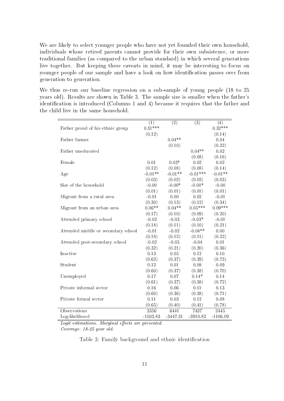We are likely to select younger people who have not yet founded their own household, individuals whose retired parents cannot provide for their own subsistence, or more traditional families (as compared to the urban standard) in which several generations live together. But keeping these caveats in mind, it may be interesting to focus on younger people of our sample and have a look on how identification passes over from generation to generation.

We thus re-run our baseline regression on a sub-sample of young people (18 to 25 years old). Results are shown in Table 3. The sample size is smaller when the father's identification is introduced (Columns 1 and 4) because it requires that the father and the child live in the same household.

|            |                                                                                                                                                                                                   |                                                                                                                                                                                                                  | $\left( 4\right)$                                                                                                                                                                                                                                                |
|------------|---------------------------------------------------------------------------------------------------------------------------------------------------------------------------------------------------|------------------------------------------------------------------------------------------------------------------------------------------------------------------------------------------------------------------|------------------------------------------------------------------------------------------------------------------------------------------------------------------------------------------------------------------------------------------------------------------|
|            |                                                                                                                                                                                                   |                                                                                                                                                                                                                  | $0.32***$                                                                                                                                                                                                                                                        |
|            |                                                                                                                                                                                                   |                                                                                                                                                                                                                  | (0.14)                                                                                                                                                                                                                                                           |
|            |                                                                                                                                                                                                   |                                                                                                                                                                                                                  | 0.04                                                                                                                                                                                                                                                             |
|            |                                                                                                                                                                                                   |                                                                                                                                                                                                                  | (0.22)                                                                                                                                                                                                                                                           |
|            |                                                                                                                                                                                                   |                                                                                                                                                                                                                  | 0.02                                                                                                                                                                                                                                                             |
|            |                                                                                                                                                                                                   |                                                                                                                                                                                                                  | (0.16)                                                                                                                                                                                                                                                           |
|            |                                                                                                                                                                                                   |                                                                                                                                                                                                                  | 0.02                                                                                                                                                                                                                                                             |
| (0.12)     | (0.08)                                                                                                                                                                                            |                                                                                                                                                                                                                  | (0.14)                                                                                                                                                                                                                                                           |
| $-0.01**$  | $-0.01**$                                                                                                                                                                                         | $-0.01***$                                                                                                                                                                                                       | $-0.01**$                                                                                                                                                                                                                                                        |
| (0.03)     | (0.02)                                                                                                                                                                                            | (0.02)                                                                                                                                                                                                           | (0.03)                                                                                                                                                                                                                                                           |
| $-0.00$    | $-0.00*$                                                                                                                                                                                          | $-0.00*$                                                                                                                                                                                                         | $-0.00$                                                                                                                                                                                                                                                          |
| (0.01)     | (0.01)                                                                                                                                                                                            | (0.01)                                                                                                                                                                                                           | (0.01)                                                                                                                                                                                                                                                           |
| $-0.01$    | 0.00                                                                                                                                                                                              | 0.02                                                                                                                                                                                                             | $-0.01$                                                                                                                                                                                                                                                          |
|            |                                                                                                                                                                                                   |                                                                                                                                                                                                                  | (0.34)                                                                                                                                                                                                                                                           |
| $0.06**$   | $0.04**$                                                                                                                                                                                          |                                                                                                                                                                                                                  | $0.09***$                                                                                                                                                                                                                                                        |
|            |                                                                                                                                                                                                   |                                                                                                                                                                                                                  | (0.20)                                                                                                                                                                                                                                                           |
| $-0.02$    | $-0.03$                                                                                                                                                                                           |                                                                                                                                                                                                                  | $-0.01$                                                                                                                                                                                                                                                          |
|            |                                                                                                                                                                                                   |                                                                                                                                                                                                                  | (0.21)                                                                                                                                                                                                                                                           |
| $-0.01$    | $-0.02$                                                                                                                                                                                           |                                                                                                                                                                                                                  | 0.00                                                                                                                                                                                                                                                             |
|            |                                                                                                                                                                                                   |                                                                                                                                                                                                                  | (0.22)                                                                                                                                                                                                                                                           |
|            |                                                                                                                                                                                                   |                                                                                                                                                                                                                  | 0.01                                                                                                                                                                                                                                                             |
|            |                                                                                                                                                                                                   |                                                                                                                                                                                                                  | (0.36)                                                                                                                                                                                                                                                           |
|            |                                                                                                                                                                                                   |                                                                                                                                                                                                                  | 0.10                                                                                                                                                                                                                                                             |
|            |                                                                                                                                                                                                   |                                                                                                                                                                                                                  | (0.73)                                                                                                                                                                                                                                                           |
|            |                                                                                                                                                                                                   |                                                                                                                                                                                                                  | 0.09                                                                                                                                                                                                                                                             |
|            |                                                                                                                                                                                                   |                                                                                                                                                                                                                  | (0.70)                                                                                                                                                                                                                                                           |
|            |                                                                                                                                                                                                   |                                                                                                                                                                                                                  | 0.14                                                                                                                                                                                                                                                             |
|            |                                                                                                                                                                                                   |                                                                                                                                                                                                                  | (0.72)                                                                                                                                                                                                                                                           |
|            |                                                                                                                                                                                                   |                                                                                                                                                                                                                  | 0.13                                                                                                                                                                                                                                                             |
|            |                                                                                                                                                                                                   |                                                                                                                                                                                                                  | (0.71)                                                                                                                                                                                                                                                           |
|            |                                                                                                                                                                                                   |                                                                                                                                                                                                                  | 0.08                                                                                                                                                                                                                                                             |
|            |                                                                                                                                                                                                   |                                                                                                                                                                                                                  | (0.78)                                                                                                                                                                                                                                                           |
|            |                                                                                                                                                                                                   |                                                                                                                                                                                                                  | 2445                                                                                                                                                                                                                                                             |
| $-1503.83$ | $-3447.31$                                                                                                                                                                                        | $-3910.82$                                                                                                                                                                                                       | $-1106.09$                                                                                                                                                                                                                                                       |
|            | (1)<br>$0.31***$<br>(0.12)<br>0.01<br>(0.30)<br>(0.17)<br>(0.18)<br>(0.18)<br>$-0.02$<br>(0.32)<br>0.13<br>(0.62)<br>0.12<br>(0.60)<br>0.17<br>(0.61)<br>0.16<br>(0.60)<br>0.11<br>(0.65)<br>3356 | $\overline{(2)}$<br>$0.04**$<br>(0.10)<br>$0.03*$<br>(0.13)<br>(0.10)<br>(0.11)<br>(0.12)<br>$-0.05$<br>(0.21)<br>0.05<br>(0.37)<br>0.01<br>(0.37)<br>0.07<br>(0.37)<br>0.06<br>(0.36)<br>0.03<br>(0.40)<br>6441 | $\overline{(3)}$<br>$0.04**$<br>(0.08)<br>0.02<br>(0.08)<br>(0.12)<br>$0.05***$<br>(0.09)<br>$-0.03*$<br>(0.10)<br>$-0.04**$<br>(0.11)<br>$-0.04$<br>(0.20)<br>0.12<br>(0.39)<br>0.08<br>(0.38)<br>$0.14*$<br>(0.38)<br>0.11<br>(0.38)<br>0.12<br>(0.41)<br>7437 |

Logit estimations. Marginal effects are presented.

Coverage: 18-25 year old.

#### Table 3: Family background and ethnic identification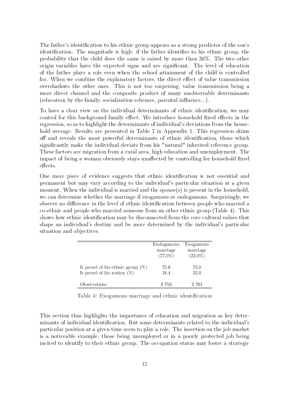The father's identification to his ethnic group appears as a strong predictor of the son's identification. The magnitude is high: if the father identifies to his ethnic group, the probability that the child does the same is raised by more than 30%. The two other origin variables have the expected signs and are signicant. The level of education of the father plays a role even when the school attainment of the child is controlled for. When we combine the explanatory factors, the direct effect of value transmission overshadows the other ones. This is not too surprising, value transmission being a more direct channel and the composite product of many unobservable determinants  $(eduction by the family, socialization schemes, parental influence...).$ 

To have a clear view on the individual determinants of ethnic identification, we may control for this background family effect. We introduce household fixed effects in the regression, so as to highlight the determinants of individual's deviations from the household average. Results are presented in Table 7 in Appendix 1. This regression skims off and reveals the most powerful determinants of ethnic identification, those which significantly make the individual deviate from his "natural" inherited reference group. These factors are migration from a rural area, high education and unemployment. The impact of being a woman obviously stays unaffected by controlling for household fixed effects.

One more piece of evidence suggests that ethnic identification is not essential and permanent but may vary according to the individual's particular situation at a given moment. When the individual is married and the spouse(s) is present in the household, we can determine whether the marriage if exogamous or endogamous. Surprisingly, we observe no difference in the level of ethnic identification between people who married a co-ethnic and people who married someone from an other ethnic group (Table 4). This shows how ethnic identification may be disconnected from the core cultural values that shape an individual's destiny and be more determined by the individual's particular situation and objectives.

|                                     | Endogamous | Exogamous  |
|-------------------------------------|------------|------------|
|                                     | marriage   | marriage   |
|                                     | $(77.0\%)$ | $(23.0\%)$ |
| Is proud of his ethnic group $(\%)$ | 75.6       | 75.0       |
| Is proud of his nation $(\%)$       | 24.4       | 25.0       |
| Observations                        | 8.716      | 2 781      |

Table 4: Exogamous marriage and ethnic identification

This section thus highlights the importance of education and migration as key determinants of individual identification. But some determinants related to the individual's particular position at a given time seem to play a role. The insertion on the job market is a noticeable example, those being unemployed or in a poorly protected job being incited to identify to their ethnic group. The occupation status may foster a strategic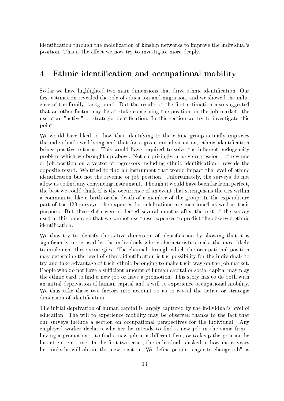identification through the mobilization of kinship networks to improve the individual's position. This is the effect we now try to investigate more deeply.

## 4 Ethnic identification and occupational mobility

So far we have highlighted two main dimensions that drive ethnic identification. Our first estimation revealed the role of education and migration, and we showed the influence of the family background. But the results of the first estimation also suggested that an other factor may be at stake concerning the position on the job market: the use of an "active" or strategic identification. In this section we try to investigate this point.

We would have liked to show that identifying to the ethnic group actually improves the individual's well-being and that for a given initial situation, ethnic identification brings positive returns. This would have required to solve the inherent endogeneity problem which we brought up above. Not surprisingly, a naive regression - of revenue or job position on a vector of regressors including ethnic identification - reveals the opposite result. We tried to find an instrument that would impact the level of ethnic identification but not the revenue or job position. Unfortunately, the surveys do not allow us to find any convincing instrument. Though it would have been far from perfect, the best we could think of is the occurrence of an event that strengthens the ties within a community, like a birth or the death of a member of the group. In the expenditure part of the 123 surveys, the expenses for celebrations are mentioned as well as their purpose. But these data were collected several months after the rest of the survey used in this paper, so that we cannot use these expenses to predict the observed ethnic identification.

We thus try to identify the active dimension of identification by showing that it is significantly more used by the individuals whose characteristics make the most likely to implement these strategies. The channel through which the occupational position may determine the level of ethnic identification is the possibility for the individuals to try and take advantage of their ethnic belonging to make their way on the job market. People who do not have a sufficient amount of human capital or social capital may play the ethnic card to find a new job or have a promotion. This story has to do both with an initial deprivation of human capital and a will to experience occupational mobility. We thus take these two factors into account so as to reveal the active or strategic dimension of identification.

The initial deprivation of human capital is largely captured by the individual's level of education. The will to experience mobility may be observed thanks to the fact that our surveys include a section on occupational perspectives for the individual. Any employed worker declares whether he intends to find a new job in the same firm having a promotion -, to find a new job in a different firm, or to keep the position he has at current time. In the first two cases, the individual is asked in how many years he thinks he will obtain this new position. We define people "eager to change job" as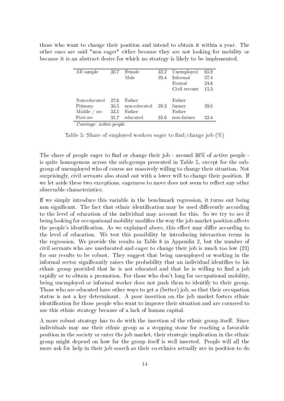those who want to change their position and intend to obtain it within a year. The other ones are said "non eager" either because they are not looking for mobility or because it is an abstract desire for which no strategy is likely to be implemented.

| All sample              | 30.7 | Female       | 32.2 | Unemployed    | 65.9 |
|-------------------------|------|--------------|------|---------------|------|
|                         |      | Male         | 29.4 | Informal      | 27.4 |
|                         |      |              |      | Formal        | 24.6 |
|                         |      |              |      | Civil servant | 15.3 |
|                         |      |              |      |               |      |
| Non-educated            | 27.6 | Father       |      | Father        |      |
| Primary                 | 30.5 | non-educated | 29.3 | farmer        | 29.0 |
| Middle<br>sec           | 33.5 | Father       |      | Father        |      |
| Post-sec                | 31.7 | educated     | 33.6 | non-farmer    | 32.4 |
| Coverage: active people |      |              |      |               |      |

Table 5: Share of employed workers eager to find/change job  $(\%)$ 

The share of people eager to find or change their job - around  $30\%$  of active people is quite homogenous across the sub-groups presented in Table 5, except for the subgroup of unemployed who of course are massively willing to change their situation. Not surprisingly, civil servants also stand out with a lower will to change their position. If we let aside these two exceptions, eagerness to move does not seem to reflect any other observable characteristics.

If we simply introduce this variable in the benchmark regression, it turns out being non significant. The fact that ethnic identification may be used differently according to the level of education of the individual may account for this. So we try to see if being looking for occupational mobility modifies the way the job-market position affects the people's identification. As we explained above, this effect may differ according to the level of education. We test this possibility by introducing interaction terms in the regression. We provide the results in Table 8 in Appendix 2, but the number of civil servants who are uneducated and eager to change their job is much too low (23) for our results to be robust. They suggest that being unemployed or working in the informal sector significantly raises the probability that an individual identifies to his ethnic group provided that he is not educated and that he is willing to find a job rapidly or to obtain a promotion. For those who don't long for occupational mobility, being unemployed or informal worker does not push them to identify to their group. Those who are educated have other ways to get a (better) job, so that their occupation status is not a key determinant. A poor insertion on the job market fosters ethnic identification for those people who want to improve their situation and are cornered to use this ethnic strategy because of a lack of human capital.

A more robust strategy has to do with the insertion of the ethnic group itself. Since individuals may use their ethnic group as a stepping stone for reaching a favorable position in the society or enter the job market, their strategic implication in the ethnic group might depend on how far the group itself is well inserted. People will all the more ask for help in their job search as their co-ethnics actually are in position to do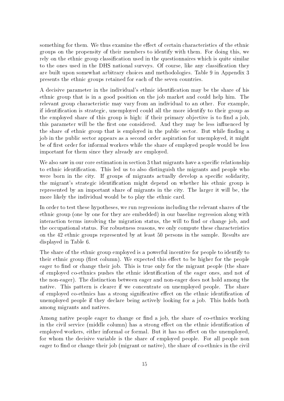something for them. We thus examine the effect of certain characteristics of the ethnic groups on the propensity of their members to identify with them. For doing this, we rely on the ethnic group classification used in the questionnaires which is quite similar to the ones used in the DHS national surveys. Of course, like any classification they are built upon somewhat arbitrary choices and methodologies. Table 9 in Appendix 3 presents the ethnic groups retained for each of the seven countries.

A decisive parameter in the individual's ethnic identification may be the share of his ethnic group that is in a good position on the job market and could help him. The relevant group characteristic may vary from an individual to an other. For example, if identification is strategic, unemployed could all the more identify to their group as the employed share of this group is high: if their primary objective is to find a job, this parameter will be the first one considered. And they may be less influenced by the share of ethnic group that is employed in the public sector. But while finding a job in the public sector appears as a second order aspiration for unemployed, it might be of first order for informal workers while the share of employed people would be less important for them since they already are employed.

We also saw in our core estimation in section 3 that migrants have a specific relationship to ethnic identification. This led us to also distinguish the migrants and people who were born in the city. If groups of migrants actually develop a specific solidarity, the migrant's strategic identification might depend on whether his ethnic group is represented by an important share of migrants in the city. The larger it will be, the more likely the individual would be to play the ethnic card.

In order to test these hypotheses, we run regressions including the relevant shares of the ethnic group (one by one for they are embedded) in our baseline regression along with interaction terms involving the migration status, the will to find or change job, and the occupational status. For robustness reasons, we only compute these characteristics on the 42 ethnic groups represented by at least 50 persons in the sample. Results are displayed in Table 6.

The share of the ethnic group employed is a powerful incentive for people to identify to their ethnic group (first column). We expected this effect to be higher for the people eager to find or change their job. This is true only for the migrant people (the share of employed co-ethnics pushes the ethnic identification of the eager ones, and not of the non-eager). The distinction between eager and non-eager does not hold among the native. This pattern is clearer if we concentrate on unemployed people. The share of employed co-ethnics has a strong significative effect on the ethnic identification of unemployed people if they declare being actively looking for a job. This holds both among migrants and natives.

Among native people eager to change or find a job, the share of co-ethnics working in the civil service (middle column) has a strong effect on the ethnic identification of employed workers, either informal or formal. But it has no effect on the unemployed, for whom the decisive variable is the share of employed people. For all people non eager to find or change their job (migrant or native), the share of co-ethnics in the civil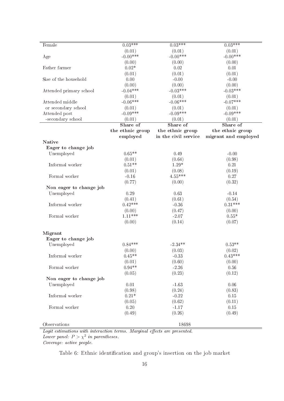| Female                  | $0.03***$        | $0.03***$            | $0.03***$            |
|-------------------------|------------------|----------------------|----------------------|
|                         | (0.01)           | (0.01)               | (0.01)               |
| Age                     | $-0.00***$       | $-0.00***$           | $-0.00***$           |
|                         | (0.00)           | (0.00)               | (0.00)               |
| Father farmer           | $0.02\,{*}$      | $0.02\,$             | 0.01                 |
|                         | (0.01)           | (0.01)               | (0.01)               |
| Size of the household   | 0.00             | $-0.00$              | $-0.00$              |
|                         | (0.00)           | (0.00)               | (0.00)               |
| Attended primary school | $-0.04***$       | $-0.03***$           | $-0.03***$           |
|                         |                  |                      |                      |
|                         | (0.01)           | (0.01)               | (0.01)               |
| Attended middle         | $-0.06***$       | $-0.06***$           | $-0.07***$           |
| or secondary school     | (0.01)           | (0.01)               | (0.01)               |
| Attended post           | $-0.09***$       | $-0.09***$           | $-0.09***$           |
| -secondary school       | (0.01)           | (0.01)               | (0.01)               |
|                         | Share of         | Share of             | Share of             |
|                         | the ethnic group | the ethnic group     | the ethnic group     |
|                         | employed         | in the civil service | migrant and employed |
| <b>Native</b>           |                  |                      |                      |
| Eager to change job     |                  |                      |                      |
| Unemployed              | $0.65**$         | 0.49                 | $-0.00$              |
|                         | (0.01)           | (0.64)               | (0.98)               |
| Informal worker         | $0.51**$         | $1.29*$              | 0.21                 |
|                         | (0.01)           | (0.08)               | (0.19)               |
| Formal worker           | $-0.16$          | $4.55***$            | 0.27                 |
|                         | (0.77)           | (0.00)               | (0.32)               |
| Non eager to change job |                  |                      |                      |
| Unemployed              | 0.29             | 0.63                 | $-0.14$              |
|                         | (0.41)           | (0.61)               | (0.54)               |
| Informal worker         | $0.42***$        | $-0.36$              | $0.31***$            |
|                         | (0.00)           | (0.47)               | (0.00)               |
| Formal worker           | $1.11**$         | $-2.07$              | $0.55*$              |
|                         | (0.00)           | (0.14)               | (0.07)               |
|                         |                  |                      |                      |
|                         |                  |                      |                      |
| Migrant                 |                  |                      |                      |
| Eager to change job     | $0.84***$        | $-2.34**$            | $0.53**$             |
| Unemployed              |                  |                      |                      |
|                         | (0.00)           | (0.03)               | (0.02)               |
| Informal worker         | $0.45**$         | $-0.33$              | $0.43***$            |
|                         | (0.01)           | (0.60)               | (0.00)               |
| Formal worker           | $0.94**$         | $-2.26$              | 0.56                 |
|                         | (0.05)           | (0.23)               | (0.12)               |
| Non eager to change job |                  |                      |                      |
| Unemployed              | 0.01             | $-1.63$              | 0.06                 |
|                         | (0.98)           | (0.24)               | (0.83)               |
| Informal worker         | $0.21*$          | $-0.22$              | $0.15\,$             |
|                         | (0.05)           | (0.62)               | (0.11)               |
| Formal worker           | 0.20             | $-1.17$              | 0.15                 |
|                         | (0.49)           | (0.26)               | (0.49)               |
|                         |                  |                      |                      |
| Observations            |                  | 18698                |                      |

Logit estimations with interaction terms. Marginal effects are presented. Lower panel:  $P > \chi^2$  in parentheses.

Coverage: active people.

Table 6: Ethnic identification and group's insertion on the job market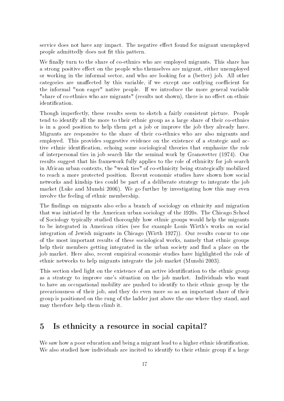service does not have any impact. The negative effect found for migrant unemployed people admittedly does not fit this pattern.

We finally turn to the share of co-ethnics who are employed migrants. This share has a strong positive effect on the people who themselves are migrant, either unemployed or working in the informal sector, and who are looking for a (better) job. All other categories are unaffected by this variable, if we except one outlying coefficient for the informal "non eager" native people. If we introduce the more general variable "share of co-ethnics who are migrants" (results not shown), there is no effect on ethnic identification.

Though imperfectly, these results seem to sketch a fairly consistent picture. People tend to identify all the more to their ethnic group as a large share of their co-ethnics is in a good position to help them get a job or improve the job they already have. Migrants are responsive to the share of their co-ethnics who are also migrants and employed. This provides suggestive evidence on the existence of a strategic and active ethnic identification, echoing some sociological theories that emphasize the role of interpersonal ties in job search like the seminal work by Granovetter (1974). Our results suggest that his framework fully applies to the role of ethnicity for job search in African urban contexts, the "weak ties" of co-ethnicity being strategically mobilized to reach a more protected position. Recent economic studies have shown how social networks and kinship ties could be part of a deliberate strategy to integrate the job market (Luke and Munshi 2006). We go further by investigating how this may even involve the feeling of ethnic membership.

The findings on migrants also echo a branch of sociology on ethnicity and migration that was initiated by the American urban sociology of the 1920s. The Chicago School of Sociology typically studied thoroughly how ethnic groups would help the migrants to be integrated in American cities (see for example Louis Wirth's works on social integration of Jewish migrants in Chicago (Wirth 1927)). Our results concur to one of the most important results of these sociological works, namely that ethnic groups help their members getting integrated in the urban society and find a place on the job market. Here also, recent empirical economic studies have highlighted the role of ethnic networks to help migrants integrate the job market (Munshi 2003).

This section shed light on the existence of an active identification to the ethnic group as a strategy to improve one's situation on the job market. Individuals who want to have an occupational mobility are pushed to identify to their ethnic group by the precariousness of their job, and they do even more so as an important share of their group is positioned on the rung of the ladder just above the one where they stand, and may therefore help them climb it.

## 5 Is ethnicity a resource in social capital?

We saw how a poor education and being a migrant lead to a higher ethnic identification. We also studied how individuals are incited to identify to their ethnic group if a large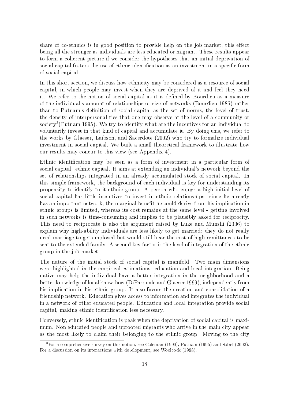share of co-ethnics is in good position to provide help on the job market, this effect being all the stronger as individuals are less educated or migrant. These results appear to form a coherent picture if we consider the hypotheses that an initial deprivation of social capital fosters the use of ethnic identification as an investment in a specific form of social capital.

In this short section, we discuss how ethnicity may be considered as a resource of social capital, in which people may invest when they are deprived of it and feel they need it. We refer to the notion of social capital as it is dened by Bourdieu as a measure of the individual's amount of relationships or size of networks (Bourdieu 1986) rather than to Putnam's definition of social capital as the set of norms, the level of trust, the density of interpersonal ties that one may observe at the level of a community or  ${\rm society}^3{\rm (Putnam~1995)}.$  We try to identify what are the incentives for an individual to voluntarily invest in that kind of capital and accumulate it. By doing this, we refer to the works by Glaeser, Laibson, and Sacerdote (2002) who try to formalize individual investment in social capital. We built a small theoretical framework to illustrate how our results may concur to this view (see Appendix 4).

Ethnic identification may be seen as a form of investment in a particular form of social capital: ethnic capital. It aims at extending an individual's network beyond the set of relationships integrated in an already accumulated stock of social capital. In this simple framework, the background of each individual is key for understanding its propensity to identify to it ethnic group. A person who enjoys a high initial level of social capital has little incentives to invest in ethnic relationships: since he already has an important network, the marginal benefit he could derive from his implication in ethnic groups is limited, whereas its cost remains at the same level - getting involved in such networks is time-consuming and implies to be plausibly asked for reciprocity. This need to reciprocate is also the argument raised by Luke and Munshi (2006) to explain why high-ability individuals are less likely to get married: they do not really need marriage to get employed but would still bear the cost of high remittances to be sent to the extended family. A second key factor is the level of integration of the ethnic group in the job market.

The nature of the initial stock of social capital is manifold. Two main dimensions were highlighted in the empirical estimations: education and local integration. Being native may help the individual have a better integration in the neighborhood and a better knowledge of local know-how (DiPasquale and Glaeser 1999), independently from his implication in his ethnic group. It also favors the creation and consolidation of a friendship network. Education gives access to information and integrates the individual in a network of other educated people. Education and local integration provide social capital, making ethnic identification less necessary.

Conversely, ethnic identification is peak when the deprivation of social capital is maximum. Non educated people and uprooted migrants who arrive in the main city appear as the most likely to claim their belonging to the ethnic group. Moving to the city

<sup>3</sup>For a comprehensive survey on this notion, see Coleman (1990), Putnam (1995) and Sobel (2002). For a discussion on its interactions with development, see Woolcock (1998).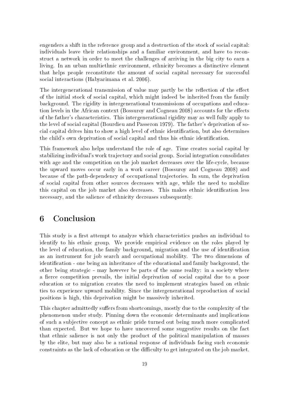engenders a shift in the reference group and a destruction of the stock of social capital: individuals leave their relationships and a familiar environment, and have to reconstruct a network in order to meet the challenges of arriving in the big city to earn a living. In an urban multiethnic environment, ethnicity becomes a distinctive element that helps people reconstitute the amount of social capital necessary for successful social interactions (Habyarimana et al. 2006).

The intergenerational transmission of value may partly be the reflection of the effect of the initial stock of social capital, which might indeed be inherited from the family background. The rigidity in intergenerational transmissions of occupations and education levels in the African context (Bossuroy and Cogneau 2008) accounts for the effects of the father's characteristics. This intergenerational rigidity may as well fully apply to the level of social capital (Bourdieu and Passeron 1979). The father's deprivation of social capital drives him to show a high level of ethnic identification, but also determines the child's own deprivation of social capital and thus his ethnic identification.

This framework also helps understand the role of age. Time creates social capital by stabilizing individual's work trajectory and social group. Social integration consolidates with age and the competition on the job market decreases over the life-cycle, because the upward moves occur early in a work career (Bossuroy and Cogneau 2008) and because of the path-dependency of occupational trajectories. In sum, the deprivation of social capital from other sources decreases with age, while the need to mobilize this capital on the job market also decreases. This makes ethnic identification less necessary, and the salience of ethnicity decreases subsequently.

## 6 Conclusion

This study is a first attempt to analyze which characteristics pushes an individual to identify to his ethnic group. We provide empirical evidence on the roles played by the level of education, the family background, migration and the use of identification as an instrument for job search and occupational mobility. The two dimensions of identication - one being an inheritance of the educational and family background, the other being strategic - may however be parts of the same reality: in a society where a fierce competition prevails, the initial deprivation of social capital due to a poor education or to migration creates the need to implement strategies based on ethnic ties to experience upward mobility. Since the intergenerational reproduction of social positions is high, this deprivation might be massively inherited.

This chapter admittedly suffers from shortcomings, mostly due to the complexity of the phenomenon under study. Pinning down the economic determinants and implications of such a subjective concept as ethnic pride turned out being much more complicated than expected. But we hope to have uncovered some suggestive results on the fact that ethnic salience is not only the product of the political manipulation of masses by the elite, but may also be a rational response of individuals facing such economic constraints as the lack of education or the difficulty to get integrated on the job market.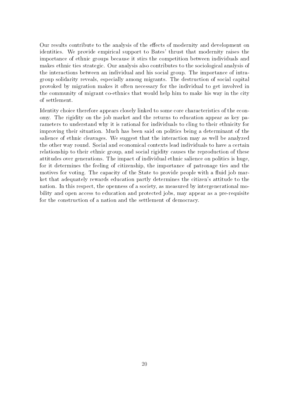Our results contribute to the analysis of the effects of modernity and development on identities. We provide empirical support to Bates' thrust that modernity raises the importance of ethnic groups because it stirs the competition between individuals and makes ethnic ties strategic. Our analysis also contributes to the sociological analysis of the interactions between an individual and his social group. The importance of intragroup solidarity reveals, especially among migrants. The destruction of social capital provoked by migration makes it often necessary for the individual to get involved in the community of migrant co-ethnics that would help him to make his way in the city of settlement.

Identity choice therefore appears closely linked to some core characteristics of the economy. The rigidity on the job market and the returns to education appear as key parameters to understand why it is rational for individuals to cling to their ethnicity for improving their situation. Much has been said on politics being a determinant of the salience of ethnic cleavages. We suggest that the interaction may as well be analyzed the other way round. Social and economical contexts lead individuals to have a certain relationship to their ethnic group, and social rigidity causes the reproduction of these attitudes over generations. The impact of individual ethnic salience on politics is huge, for it determines the feeling of citizenship, the importance of patronage ties and the motives for voting. The capacity of the State to provide people with a fluid job market that adequately rewards education partly determines the citizen's attitude to the nation. In this respect, the openness of a society, as measured by intergenerational mobility and open access to education and protected jobs, may appear as a pre-requisite for the construction of a nation and the settlement of democracy.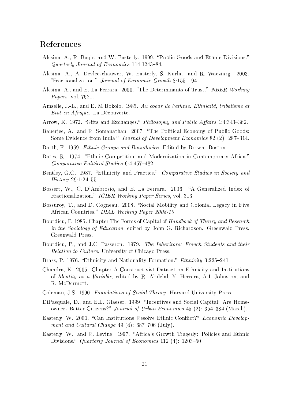## References

- Alesina, A., R. Baqir, and W. Easterly. 1999. "Public Goods and Ethnic Divisions." Quarterly Journal of Economics  $114:1243-84$ .
- Alesina, A., A. Devleeschauwer, W. Easterly, S. Kurlat, and R. Wacziarg. 2003. "Fractionalization." Journal of Economic Growth 8:155-194.
- Alesina, A., and E. La Ferrara. 2000. "The Determinants of Trust." NBER Working Papers, vol. 7621.
- Amselle, J.-L., and E. M'Bokolo. 1985. Au coeur de l'ethnie. Ethnicité, tribalisme et Etat en Afrique. La Découverte.
- Arrow, K. 1972. "Gifts and Exchanges." Philosophy and Public Affairs 1:4:343-362.
- Banerjee, A., and R. Somanathan. 2007. The Political Economy of Public Goods: Some Evidence from India." Journal of Development Economics 82 (2): 287-314.
- Barth, F. 1969. Ethnic Groups and Boundaries. Edited by Brown. Boston.
- Bates, R. 1974. "Ethnic Competition and Modernization in Contemporary Africa." Comparative Political Studies 6:4:457-482.
- Bentley, G.C. 1987. "Ethnicity and Practice." Comparative Studies in Society and  $History 29:1:24-55.$
- Bossert, W., C. D'Ambrosio, and E. La Ferrara. 2006. "A Generalized Index of Fractionalization." IGIER Working Paper Series, vol. 313.
- Bossuroy, T., and D. Cogneau. 2008. "Social Mobility and Colonial Legacy in Five African Countries." DIAL Working Paper 2008-10.
- Bourdieu, P. 1986. Chapter The Forms of Capital of Handbook of Theory and Research in the Sociology of Education, edited by John G. Richardson. Greenwald Press, Greenwald Press.
- Bourdieu, P., and J.C. Passeron. 1979. The Inheritors: French Students and their Relation to Culture. University of Chicago Press.
- Brass, P. 1976. "Ethnicity and Nationality Formation." *Ethnicity* 3:225–241.
- Chandra, K. 2005. Chapter A Constructivist Dataset on Ethnicity and Institutions of Identity as a Variable, edited by R. Abdelal, Y. Herrera, A.I. Johnston, and R. McDermott.
- Coleman, J.S. 1990. Foundations of Social Theory. Harvard University Press.
- DiPasquale, D., and E.L. Glaeser. 1999. "Incentives and Social Capital: Are Homeowners Better Citizens?" Journal of Urban Economics 45 (2): 354–384 (March).
- Easterly, W. 2001. "Can Institutions Resolve Ethnic Conflict?" Economic Development and Cultural Change  $49(4)$ : 687–706 (July).
- Easterly, W., and R. Levine. 1997. "Africa's Growth Tragedy: Policies and Ethnic Divisions." Quarterly Journal of Economics 112 (4): 1203-50.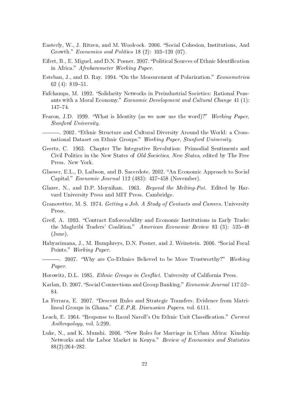- Easterly, W., J. Ritzen, and M. Woolcock. 2006. "Social Cohesion, Institutions, And Growth." Economics and Politics  $18(2)$ :  $103-120(07)$ .
- Eifert, B., E. Miguel, and D.N. Posner. 2007. "Political Sources of Ethnic Identification in Africa." Afrobarometer Working Paper.
- Esteban, J., and D. Ray. 1994. "On the Measurement of Polarization." Econometrica 62 $(4)$ : 819-51.
- Fafchamps, M. 1992. "Solidarity Networks in Preindustrial Societies: Rational Peasants with a Moral Economy." Economic Development and Cultural Change 41 (1): 147-74.
- Fearon, J.D. 1999. "What is Identity (as we now use the word)?" Working Paper, Stanford University.
- . 2002. Ethnic Structure and Cultural Diversity Around the World: a Crossnational Dataset on Ethnic Groups." Working Paper, Stanford University.
- Geertz, C. 1963. Chapter The Integrative Revolution: Primodial Sentiments and Civil Politics in the New States of Old Societies, New States, edited by The Free Press. New York.
- Glaeser, E.L., D. Laibson, and B. Sacerdote. 2002. "An Economic Approach to Social Capital." Economic Journal 112 (483):  $437-458$  (November).
- Glazer, N., and D.P. Moynihan. 1963. Beyond the Melting-Pot. Edited by Harvard University Press and MIT Press. Cambridge.
- Granovetter, M. S. 1974. Getting a Job. A Study of Contacts and Careers. University Press.
- Greif, A. 1993. "Contract Enforceability and Economic Institutions in Early Trade: the Maghribi Traders' Coalition." American Economic Review 83 (3): 525-48 (June).
- Habyarimana, J., M. Humphreys, D.N. Posner, and J. Weinstein. 2006. "Social Focal Points." Working Paper.
- . 2007. "Why are Co-Ethnics Believed to be More Trustworthy?" Working Paper.
- Horowitz, D.L. 1985. Ethnic Groups in Conflict. University of California Press.
- Karlan, D. 2007. "Social Connections and Group Banking." *Economic Journal* 117:52-84.
- La Ferrara, E. 2007. "Descent Rules and Strategic Transfers. Evidence from Matrilineal Groups in Ghana." C.E.P.R. Discussion Papers, vol. 6111.
- Leach, E. 1964. "Response to Raoul Naroll's On Ethnic Unit Classification." Current Anthropology, vol. 5:299.
- Luke, N., and K. Munshi. 2006. "New Roles for Marriage in Urban Africa: Kinship Networks and the Labor Market in Kenya." Review of Economics and Statistics  $88(2):264-282.$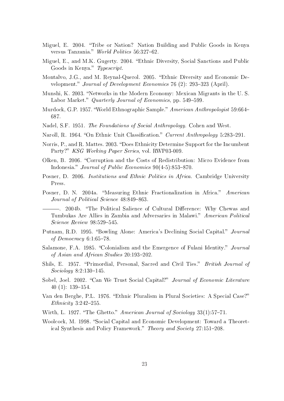- Miguel, E. 2004. "Tribe or Nation? Nation Building and Public Goods in Kenya versus Tanzania." World Politics 56:327-62.
- Miguel, E., and M.K. Gugerty. 2004. "Ethnic Diversity, Social Sanctions and Public Goods in Kenya." Typescript.
- Montalvo, J.G., and M. Reynal-Querol. 2005. Ethnic Diversity and Economic Development." Journal of Development Economics 76 (2): 293-323 (April).
- Munshi, K. 2003. "Networks in the Modern Economy: Mexican Migrants in the U.S. Labor Market." Quarterly Journal of Economics, pp. 549-599.
- Murdock, G.P. 1957. "World Ethnographic Sample." American Anthropologist 59:664– 687.
- Nadel, S.F. 1951. *The Foundations of Social Anthropology*. Cohen and West.
- Naroll, R. 1964. "On Ethnic Unit Classification." Current Anthropology 5:283–291.
- Norris, P., and R. Mattes. 2003. "Does Ethnicity Determine Support for the Incumbent Party?" KSG Working Paper Series, vol. RWP03-009.
- Olken, B. 2006. Corruption and the Costs of Redistribution: Micro Evidence from Indonesia." Journal of Public Economics  $90(4-5)$ :853-870.
- Posner, D. 2006. Institutions and Ethnic Politics in Africa. Cambridge University Press.
- Posner, D. N. 2004a. "Measuring Ethnic Fractionalization in Africa." American Journal of Political Science 48:849-863.

-. 2004b. "The Political Salience of Cultural Difference: Why Chewas and Tumbukas Are Allies in Zambia and Adversaries in Malawi." American Political  $Science$   $Review$   $98:529-545$ .

- Putnam, R.D. 1995. "Bowling Alone: America's Declining Social Capital." Journal of Democracy  $6:1:65-78$ .
- Salamone, F.A. 1985. "Colonialism and the Emergence of Fulani Identity." Journal of Asian and African Studies  $20:193-202$ .
- Shils, E. 1957. "Primordial, Personal, Sacred and Civil Ties." *British Journal of*  $Sociology 8:2:130–145.$
- Sobel, Joel. 2002. "Can We Trust Social Capital?" Journal of Economic Literature 40 (1):  $139-154$ .
- Van den Berghe, P.L. 1976. "Ethnic Pluralism in Plural Societies: A Special Case?" Ethnicity  $3:242-255$ .
- Wirth, L. 1927. "The Ghetto." American Journal of Sociology  $33(1)$ :57-71.
- Woolcock, M. 1998. "Social Capital and Economic Development: Toward a Theoretical Synthesis and Policy Framework." Theory and Society 27:151-208.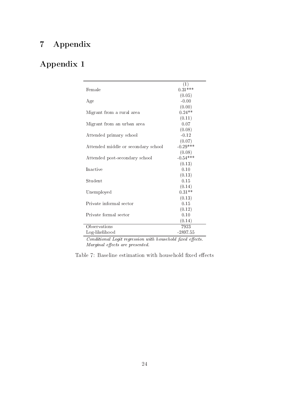# 7 Appendix

# Appendix 1

| Female                              | $\left( 1\right)$<br>$0.31***$ |
|-------------------------------------|--------------------------------|
|                                     | (0.05)                         |
| Age                                 | $-0.00$                        |
|                                     | (0.00)                         |
| Migrant from a rural area           | $0.24**$                       |
|                                     | (0.11)                         |
| Migrant from an urban area          | 0.07                           |
|                                     | (0.08)                         |
| Attended primary school             | $-0.12$                        |
|                                     | (0.07)                         |
| Attended middle or secondary school | $-0.29***$                     |
|                                     | (0.08)                         |
| Attended post-secondary school      | $-0.54***$                     |
|                                     | (0.13)                         |
| Inactive                            | 0.10                           |
|                                     | (0.13)                         |
| Student                             | 0.15                           |
|                                     | (0.14)                         |
| Unemployed                          | $0.31**$                       |
|                                     | (0.13)                         |
| Private informal sector             | 0.15                           |
|                                     | (0.12)                         |
| Private formal sector               | 0.10                           |
|                                     | (0.14)                         |
| Observations                        | 7923                           |
| Log-likelihood                      | $-2897.55$                     |

 $\overline{Conditional\;Logit\;regression\;with\;household\;fixed\;effects.}$  $Marginal$  effects are presented.

Table 7: Baseline estimation with household fixed effects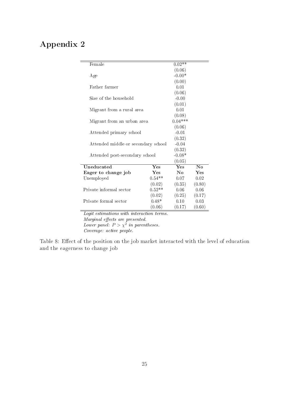# Appendix 2

| Female                              | $0.02**$  |          |          |  |
|-------------------------------------|-----------|----------|----------|--|
|                                     |           | (0.06)   |          |  |
| Age                                 | $-0.00*$  |          |          |  |
|                                     |           | (0.00)   |          |  |
| Father farmer                       |           | 0.01     |          |  |
|                                     |           | (0.06)   |          |  |
| Size of the household               |           | $-0.00$  |          |  |
|                                     |           | (0.01)   |          |  |
| Migrant from a rural area           |           | 0.01     |          |  |
|                                     |           | (0.08)   |          |  |
| Migrant from an urban area          | $0.04***$ |          |          |  |
|                                     | (0.06)    |          |          |  |
| Attended primary school             | $-0.01$   |          |          |  |
|                                     | (0.32)    |          |          |  |
| Attended middle or secondary school | $-0.04$   |          |          |  |
|                                     |           | (0.32)   |          |  |
| Attended post-secondary school      |           | $-0.08*$ |          |  |
|                                     |           | (0.05)   |          |  |
| Uneducated                          | Yes       | Yes      | $\bf No$ |  |
| Eager to change job                 | Yes       | $\bf No$ | Yes      |  |
| Unemployed                          | $0.54**$  | 0.07     | 0.02     |  |
|                                     | (0.02)    | (0.35)   | (0.80)   |  |
| Private informal sector             | $0.06 -$  | 0.06     |          |  |
|                                     | (0.25)    | (0.17)   |          |  |
| Private formal sector               | $0.48*$   | 0.10     | 0.03     |  |
|                                     | (0.06)    | (0.17)   | (0.60)   |  |

Logit estimations with interaction terms.

Marginal effects are presented.

Lower panel:  $P > \chi^2$  in parentheses.

Coverage: active people.

Table 8: Effect of the position on the job market interacted with the level of education and the eagerness to change job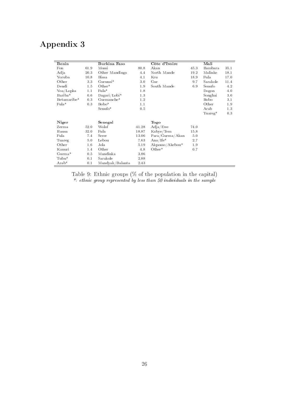# Appendix 3

| Benin       |      | Burkina Faso    |       | Côte d'Ivoire   |      | Mali     |      |
|-------------|------|-----------------|-------|-----------------|------|----------|------|
| Fon         | 61.9 | Mossi           | 80.8  | Akan            | 45.3 | Bambara  | 35.1 |
| Adja        | 20.3 | Other Mandings  | 4.4   | North Mande     | 19.2 | Malinke  | 18.1 |
| Yoruba      | 10.8 | <b>Bissa</b>    | 4.1   | Kru             | 18.9 | Fula     | 17.0 |
| Other       | 3.3  | Gurunsi*        | 3.0   | Gur             | 9.7  | Sarakole | 11.4 |
| Dendi       | 1.5  | $Other*$        | 1.9   | South Mande     | 6.9  | Senufo   | 4.2  |
| Yoa/Lopka   | 1.1  | Fula*           | 1.8   |                 |      | Dogon    | 4.0  |
| Bariba*     | 0.6  | $Dagari/Lobi*$  | 1.3   |                 |      | Songhai  | 3.6  |
| Betamaribe* | 0.3  | Gurmanche*      | 1.2   |                 |      | Bobo     | 3.1  |
| $Fula*$     | 0.3  | Bobo*           | 1.1   |                 |      | Other    | 1.9  |
|             |      | Senufo*         | 0.5   |                 |      | Arab     | 1.3  |
|             |      |                 |       |                 |      | Tuareg*  | 0.3  |
| Niger       |      | Senegal         |       | Togo            |      |          |      |
| Zerma       | 52.0 | Wolof           | 41.28 | Adja/Ewe        | 74.0 |          |      |
| Hausa       | 32.0 | Fula            | 18.87 | Kabye/Tem       | 15.8 |          |      |
| Fula        | 7.4  | Serer           | 13.06 | Para/Gurma/Akan | 5.0  |          |      |
| Tuareg      | 5.0  | Lebou           | 7.63  | Ana/Ife $*$     | 2.7  |          |      |
| Other       | 1.6  | Jola            | 5.19  | Akposso/Akebou* | 1.9  |          |      |
| Kanuri      | 1.4  | Other           | 4.8   | $Other*$        | 0.7  |          |      |
| $Gurm*$     | 0.5  | Mandinka        | 3.86  |                 |      |          |      |
| Tubu*       | 0.1  | Sarakole        | 2.88  |                 |      |          |      |
| $Arab*$     | 0.1  | Mandyak/Balanta | 2.43  |                 |      |          |      |

Table 9: Ethnic groups (% of the population in the capital) \*: ethnic group represented by less than 50 individuals in the sample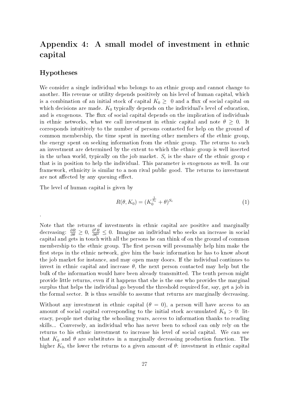# Appendix 4: A small model of investment in ethnic capital

#### Hypotheses

.

We consider a single individual who belongs to an ethnic group and cannot change to another. His revenue or utility depends positively on his level of human capital, which is a combination of an initial stock of capital  $K_0 \geq 0$  and a flux of social capital on which decisions are made.  $K_0$  typically depends on the individual's level of education, and is exogenous. The flux of social capital depends on the implication of individuals in ethnic networks, what we call investment in ethnic capital and note  $\theta \geq 0$ . It corresponds intuitively to the number of persons contacted for help on the ground of common membership, the time spent in meeting other members of the ethnic group, the energy spent on seeking information from the ethnic group. The returns to such an investment are determined by the extent to which the ethnic group is well inserted in the urban world, typically on the job market.  $S_\epsilon$  is the share of the ethnic group  $\epsilon$ that is in position to help the individual. This parameter is exogenous as well. In our framework, ethnicity is similar to a non rival public good. The returns to investment are not affected by any queuing effect.

The level of human capital is given by

$$
R(\theta, K_0) = (K_0^{\frac{1}{S_\epsilon}} + \theta)^{S_\epsilon} \tag{1}
$$

Note that the returns of investments in ethnic capital are positive and marginally decreasing:  $\frac{\partial R}{\partial \theta} \geq 0$ ,  $\frac{\partial^2 R}{\partial \theta^2} \leq 0$ . Imagine an individual who seeks an increase in social capital and gets in touch with all the persons he can think of on the ground of common membership to the ethnic group. The first person will presumably help him make the first steps in the ethnic network, give him the basic information he has to know about the job market for instance, and may open many doors. If the individual continues to invest in ethnic capital and increase  $\theta$ , the next person contacted may help but the bulk of the information would have been already transmitted. The tenth person might provide little returns, even if it happens that she is the one who provides the marginal surplus that helps the individual go beyond the threshold required for, say, get a job in the formal sector. It is thus sensible to assume that returns are marginally decreasing.

Without any investment in ethnic capital  $(\theta = 0)$ , a person will have access to an amount of social capital corresponding to the initial stock accumulated  $K_0 > 0$ : literacy, people met during the schooling years, access to information thanks to reading skills... Conversely, an individual who has never been to school can only rely on the returns to his ethnic investment to increase his level of social capital. We can see that  $K_0$  and  $\theta$  are substitutes in a marginally decreasing production function. The higher  $K_0$ , the lower the returns to a given amount of  $\theta$ : investment in ethnic capital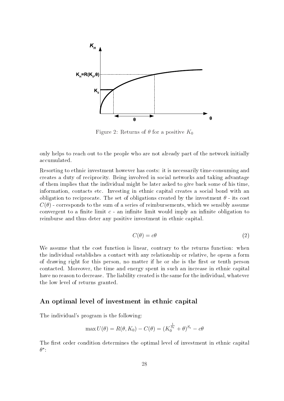

Figure 2: Returns of  $\theta$  for a positive  $K_0$ 

only helps to reach out to the people who are not already part of the network initially accumulated.

Resorting to ethnic investment however has costs: it is necessarily time-consuming and creates a duty of reciprocity. Being involved in social networks and taking advantage of them implies that the individual might be later asked to give back some of his time, information, contacts etc. Investing in ethnic capital creates a social bond with an obligation to reciprocate. The set of obligations created by the investment  $\theta$  - its cost  $C(\theta)$  - corresponds to the sum of a series of reimbursements, which we sensibly assume convergent to a finite limit  $c$  - an infinite limit would imply an infinite obligation to reimburse and thus deter any positive investment in ethnic capital.

$$
C(\theta) = c\theta \tag{2}
$$

We assume that the cost function is linear, contrary to the returns function: when the individual establishes a contact with any relationship or relative, he opens a form of drawing right for this person, no matter if he or she is the first or tenth person contacted. Moreover, the time and energy spent in such an increase in ethnic capital have no reason to decrease. The liability created is the same for the individual, whatever the low level of returns granted.

#### An optimal level of investment in ethnic capital

The individual's program is the following:

$$
\max U(\theta) = R(\theta, K_0) - C(\theta) = (K_0^{\frac{1}{S_{\epsilon}}} + \theta)^{S_{\epsilon}} - c\theta
$$

The first order condition determines the optimal level of investment in ethnic capital  $\theta^*$ :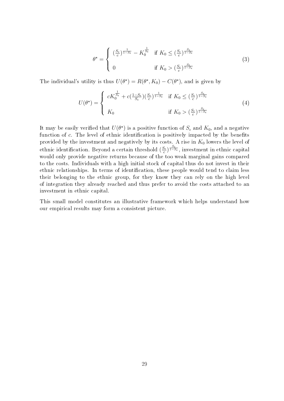$$
\theta^{\star} = \begin{cases}\n\left(\frac{S_{\epsilon}}{c}\right)^{\frac{1}{1-S_{\epsilon}}} - K_0^{\frac{1}{S_{\epsilon}}}\n\end{cases} \text{ if } K_0 \le (\frac{S_{\epsilon}}{c})^{\frac{S_{\epsilon}}{1-S_{\epsilon}}}
$$
\n
$$
0 \text{ if } K_0 > (\frac{S_{\epsilon}}{c})^{\frac{S_{\epsilon}}{1-S_{\epsilon}}}
$$
\n(3)

The individual's utility is thus  $U(\theta^*) = R(\theta^*, K_0) - C(\theta^*)$ , and is given by

$$
U(\theta^*) = \begin{cases} cK_0^{\frac{1}{S_{\epsilon}}} + c(\frac{1-S_{\epsilon}}{S_{\epsilon}})(\frac{S_{\epsilon}}{c})^{\frac{1}{1-S_{\epsilon}}} & \text{if } K_0 \le (\frac{S_{\epsilon}}{c})^{\frac{S_{\epsilon}}{1-S_{\epsilon}}}\\ K_0 & \text{if } K_0 > (\frac{S_{\epsilon}}{c})^{\frac{S_{\epsilon}}{1-S_{\epsilon}}} \end{cases}
$$
(4)

It may be easily verified that  $U(\theta^\star)$  is a positive function of  $S_\epsilon$  and  $K_0,$  and a negative function of  $c$ . The level of ethnic identification is positively impacted by the benefits provided by the investment and negatively by its costs. A rise in  $K_0$  lowers the level of ethnic identification. Beyond a certain threshold  $(\frac{S_{\epsilon}}{S_{\epsilon}})$  $\frac{S_{\epsilon}}{c})^{\frac{S_{\epsilon}}{1-S_{\epsilon}}},$  investment in ethnic capital would only provide negative returns because of the too weak marginal gains compared to the costs. Individuals with a high initial stock of capital thus do not invest in their ethnic relationships. In terms of identification, these people would tend to claim less their belonging to the ethnic group, for they know they can rely on the high level of integration they already reached and thus prefer to avoid the costs attached to an investment in ethnic capital.

This small model constitutes an illustrative framework which helps understand how our empirical results may form a consistent picture.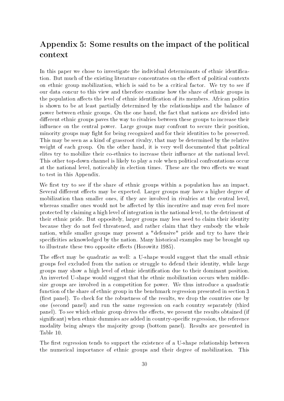# Appendix 5: Some results on the impact of the political context

In this paper we chose to investigate the individual determinants of ethnic identication. But much of the existing literature concentrates on the effect of political contexts on ethnic group mobilization, which is said to be a critical factor. We try to see if our data concur to this view and therefore examine how the share of ethnic groups in the population affects the level of ethnic identification of its members. African politics is shown to be at least partially determined by the relationships and the balance of power between ethnic groups. On the one hand, the fact that nations are divided into different ethnic groups paves the way to rivalries between these groups to increase their influence on the central power. Large groups may confront to secure their position, minority groups may fight for being recognized and for their identities to be preserved. This may be seen as a kind of grassroot rivalry, that may be determined by the relative weight of each group. On the other hand, it is very well documented that political elites try to mobilize their co-ethnics to increase their influence at the national level. This other top-down channel is likely to play a role when political confrontations occur at the national level, noticeably in election times. These are the two effects we want to test in this Appendix.

We first try to see if the share of ethnic groups within a population has an impact. Several different effects may be expected. Larger groups may have a higher degree of mobilization than smaller ones, if they are involved in rivalries at the central level, whereas smaller ones would not be affected by this incentive and may even feel more protected by claiming a high level of integration in the national level, to the detriment of their ethnic pride. But oppositely, larger groups may less need to claim their identity because they do not feel threatened, and rather claim that they embody the whole nation, while smaller groups may present a "defensive" pride and try to have their specificities acknowledged by the nation. Many historical examples may be brought up to illustrate these two opposite effects (Horowitz 1985).

The effect may be quadratic as well: a U-shape would suggest that the small ethnic groups feel excluded from the nation or struggle to defend their identity, while large groups may show a high level of ethnic identification due to their dominant position. An inverted U-shape would suggest that the ethnic mobilization occurs when middlesize groups are involved in a competition for power. We thus introduce a quadratic function of the share of ethnic group in the benchmark regression presented in section 3 (first panel). To check for the robustness of the results, we drop the countries one by one (second panel) and run the same regression on each country separately (third panel). To see which ethnic group drives the effects, we present the results obtained (if significant) when ethnic dummies are added in country-specific regression, the reference modality being always the majority group (bottom panel). Results are presented in Table 10.

The first regression tends to support the existence of a U-shape relationship between the numerical importance of ethnic groups and their degree of mobilization. This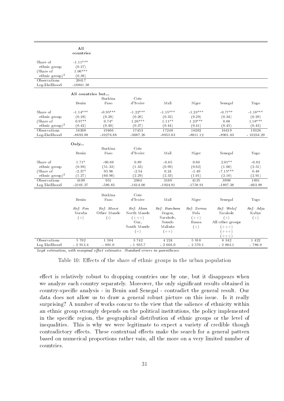|                            | All<br>countries  |              |             |              |            |                  |             |
|----------------------------|-------------------|--------------|-------------|--------------|------------|------------------|-------------|
|                            |                   |              |             |              |            |                  |             |
| Share of                   | $-1.11***$        |              |             |              |            |                  |             |
| ethnic group               | (0.27)            |              |             |              |            |                  |             |
| (Share of                  | $1.06***$         |              |             |              |            |                  |             |
| ethnic $group)^2$          | (0.38)            |              |             |              |            |                  |             |
| Observations               | 20417             |              |             |              |            |                  |             |
| Log-likelihood             | $-10841.38$       |              |             |              |            |                  |             |
|                            |                   |              |             |              |            |                  |             |
|                            | All countries but |              |             |              |            |                  |             |
|                            |                   | Burkina      | Cote        |              |            |                  |             |
|                            | Benin             | Faso         | d'Ivoire    | Mali         | Niger      | Senegal          | Togo        |
| Share of                   | $-1.14***$        | $-0.95***$   | $-1.22***$  | $-1.15***$   | $-1.23***$ | $-0.77**$        | $-1.18***$  |
| ethnic group               | (0.28)            | (0.28)       | (0.26)      | (0.32)       | (0.29)     | (0.34)           | (0.29)      |
| (Share of                  | $0.97**$          | $0.74*$      | $1.26***$   | $1.11**$     | $1.23***$  | 0.68             | $1.18***$   |
| ethnic group) <sup>2</sup> | (0.42)            | (0.40)       | (0.37)      | (0.44)       | (0.41)     | (0.45)           | (0.43)      |
| Observations               | 16308             | 19466        | 17453       | 17248        | 16282      | 16419            | 19326       |
| Log-likelihood             | $-8693.88$        | $-10276.88$  | $-9087.26$  | $-8955.83$   | $-8811.12$ | $-8901.03$       | $-10234.29$ |
|                            |                   |              |             |              |            |                  |             |
|                            | Only              |              |             |              |            |                  |             |
|                            |                   | Burkina      | Cote        |              |            |                  |             |
|                            | Benin             | Faso         | d'Ivoire    | Mali         | Niger      | Senegal          | Togo        |
| Share of                   | $1.71*$           | $-80.66$     | 0.89        | $-0.65$      | 0.60       | $2.01**$         | $-0.82$     |
| ethnic group               | (0.96)            | (51.33)      | (1.33)      | (0.99)       | (0.62)     | (1.00)           | (2.51)      |
| (Share of                  | $-2.37*$          | 95.96        | $-2.54$     | 0.24         | $-1.49$    | $-7.15***$       | 0.48        |
| ethnic $group)^2$          | (1.27)            | (60.90)      | (2.29)      | (2.33)       | (1.01)     | (2.10)           | (2.91)      |
| Observations               | 4109              | 951          | 2964        | 3169         | 4135       | 3998             | 1091        |
| Log likelihood             | $-2101.37$        | $-586.83$    | $-1614.00$  | $-1924.91$   | $-1758.91$ | $-1897.38$       | $-603.98$   |
|                            |                   |              |             |              |            |                  |             |
|                            |                   | Burkina      | Cote        |              |            |                  |             |
|                            | Benin             | Faso         | d'Ivoire    | Mali         | Niger      | Senegal          | Togo        |
|                            |                   |              |             |              |            |                  |             |
|                            | Ref: Fon          | Ref: Mossi   | Ref: Akan   | Ref: Bambara | Ref: Zerma | Ref: Wolof       | Ref: Adja   |
|                            | Yoruba            | Other Mande  | North Mande | Dogon,       | Fula       | Sarakole         | Kabye       |
|                            | $(+)$             | $(\text{-})$ | $(++)$      | Sarakole,    | $(++)$     | $(+)$            | $(+)$       |
|                            |                   |              | Gur,        | Senufo       | Hausa      | All other groups |             |
|                            |                   |              | South Mande | Malinke      | $(+)$      | $(+++)$          |             |
|                            |                   |              | $(+)$       | $(++)$       |            | $(++)$           |             |
|                            |                   |              |             |              |            | $(+ + +)$        |             |
| Observations               | 5 762             | 1 504        | 3742        | 4 2 2 4      | 5 9 1 0    | 6 3 4 2          | 1 4 2 2     |
| Log likelihood             | $-2913.4$         | $-881.0$     | $-1935.7$   | $-2603.0$    | $-2570.1$  | $-2803.1$        | $-786.9$    |

Logit estimation, with marginal effect estimates. Standard errors in parentheses.

Table 10: Effects of the share of ethnic groups in the urban population

effect is relatively robust to dropping countries one by one, but it disappears when we analyze each country separately. Moreover, the only significant results obtained in country-specific analysis - in Benin and Senegal - contradict the general result. Our data does not allow us to draw a general robust picture on this issue. Is it really surprising? A number of works concur to the view that the salience of ethnicity within an ethnic group strongly depends on the political institutions, the policy implemented in the specific region, the geographical distribution of ethnic groups or the level of inequalities. This is why we were legitimate to expect a variety of credible though contradictory effects. These contextual effects make the search for a general pattern based on numerical proportions rather vain, all the more on a very limited number of countries.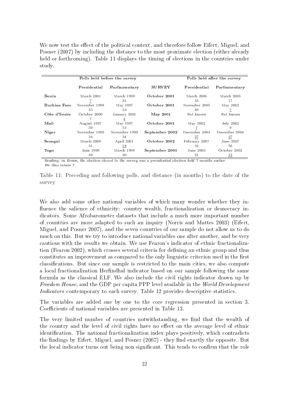We now test the effect of the political context, and therefore follow Eifert, Miguel, and Posner (2007) by including the distance to the most proximate election (either already held or forthcoming). Table 11 displays the timing of elections in the countries under study.

|               | Polls held before the survey |                                | Polls held after the survey |                     |                  |  |
|---------------|------------------------------|--------------------------------|-----------------------------|---------------------|------------------|--|
|               | Presidential                 | <b>SURVEY</b><br>Parliamentary |                             | Presidential        | Parliamentary    |  |
| Benin         | March 2001                   | March 1999<br>31               | October 2001                | March 2006<br>53    | March 2003<br>17 |  |
| Burkina Faso  | November 1998<br>35          | May 1997<br>53                 | October 2001                | November 2005<br>49 | May 2002         |  |
| Côte d'Ivoire | October 2000                 | January 2001                   | $\text{Mav } 2001$          | Not known           | Not known        |  |
| Mali          | August 1997<br>50            | May 1997<br>53                 | October 2001                | May 2002            | July 2002<br>9   |  |
| Niger         | November 1999                | November 1999                  | September 2002              | December 2004       | December 2004    |  |
| Senegal       | 34<br>March 2000             | 34<br>April 2001               | October 2002                | 27<br>February 2007 | 27<br>June 2007  |  |
|               | 31                           | 18                             |                             | 52                  | 56               |  |
| Togo          | June 1998                    | March 1999                     | September 2001              | June 2003           | October 2002     |  |
|               | 39                           | 30                             |                             | 21                  | <u>13</u>        |  |

Reading: in Benin, the election closest to the survey was a presidential election held 7 months earlier. We thus retain  $\gamma$ 

Table 11: Preceding and following polls, and distance (in months) to the date of the survey

We also add some other national variables of which many wonder whether they in fluence the salience of ethnicity: country wealth, fractionalization or democracy indicators. Some Afrobarometer datasets that include a much more important number of countries are more adapted to such an inquiry (Norris and Mattes 2003) (Eifert, Miguel, and Posner 2007), and the seven countries of our sample do not allow us to do much on this. But we try to introduce national variables one after another, and be very cautious with the results we obtain. We use Fearon's indicator of ethnic fractionalization (Fearon 2002), which crosses several criteria for defining an ethnic group and thus constitutes an improvement as compared to the only linguistic criterion used in the first classications. But since our sample is restricted to the main cities, we also compute a local fractionalization Herfindhal indicator based on our sample following the same formula as the classical ELF. We also include the civil rights indicator drawn up by Freedom House, and the GDP per capita PPP level available in the World Development Indicators contemporary to each survey. Table 12 provides descriptive statistics.

The variables are added one by one to the core regression presented in section 3. Coefficients of national variables are presented in Table 13.

The very limited number of countries notwithstanding, we find that the wealth of the country and the level of civil rights have no effect on the average level of ethnic identification. The national fractionalization index plays positively, which contradicts the findings by Eifert, Miguel, and Posner  $(2007)$  - they find exactly the opposite. But the local indicator turns out being non significant. This tends to confirm that the role